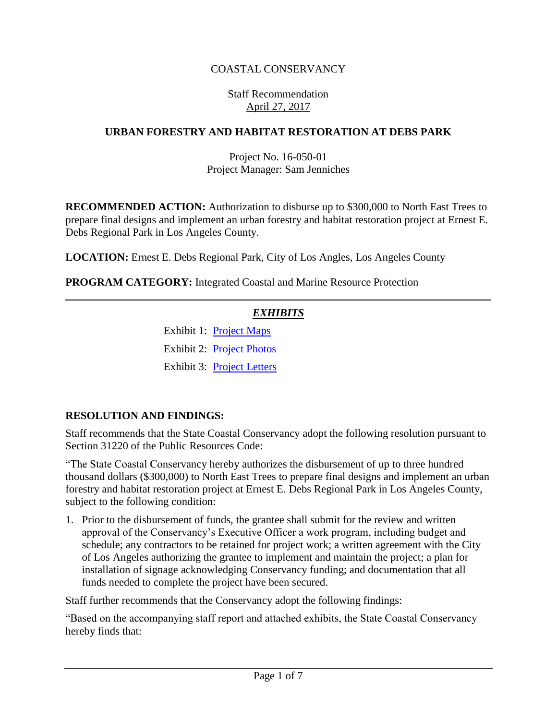### COASTAL CONSERVANCY

#### Staff Recommendation April 27, 2017

#### **URBAN FORESTRY AND HABITAT RESTORATION AT DEBS PARK**

#### Project No. 16-050-01 Project Manager: Sam Jenniches

**RECOMMENDED ACTION:** Authorization to disburse up to \$300,000 to North East Trees to prepare final designs and implement an urban forestry and habitat restoration project at Ernest E. Debs Regional Park in Los Angeles County.

**LOCATION:** Ernest E. Debs Regional Park, City of Los Angles, Los Angeles County

**PROGRAM CATEGORY:** Integrated Coastal and Marine Resource Protection

#### *EXHIBITS*

Exhibit 1: [Project Maps](20170427Board13_Debs_Park_Ex1.pdf) Exhibit 2: [Project Photos](20170427Board13_Debs_Park_Ex2.pdf) Exhibit 3: [Project Letters](20170427Board13_Debs_Park_Ex3.pdf)

#### **RESOLUTION AND FINDINGS:**

Staff recommends that the State Coastal Conservancy adopt the following resolution pursuant to Section 31220 of the Public Resources Code:

"The State Coastal Conservancy hereby authorizes the disbursement of up to three hundred thousand dollars (\$300,000) to North East Trees to prepare final designs and implement an urban forestry and habitat restoration project at Ernest E. Debs Regional Park in Los Angeles County, subject to the following condition:

1. Prior to the disbursement of funds, the grantee shall submit for the review and written approval of the Conservancy's Executive Officer a work program, including budget and schedule; any contractors to be retained for project work; a written agreement with the City of Los Angeles authorizing the grantee to implement and maintain the project; a plan for installation of signage acknowledging Conservancy funding; and documentation that all funds needed to complete the project have been secured.

Staff further recommends that the Conservancy adopt the following findings:

"Based on the accompanying staff report and attached exhibits, the State Coastal Conservancy hereby finds that: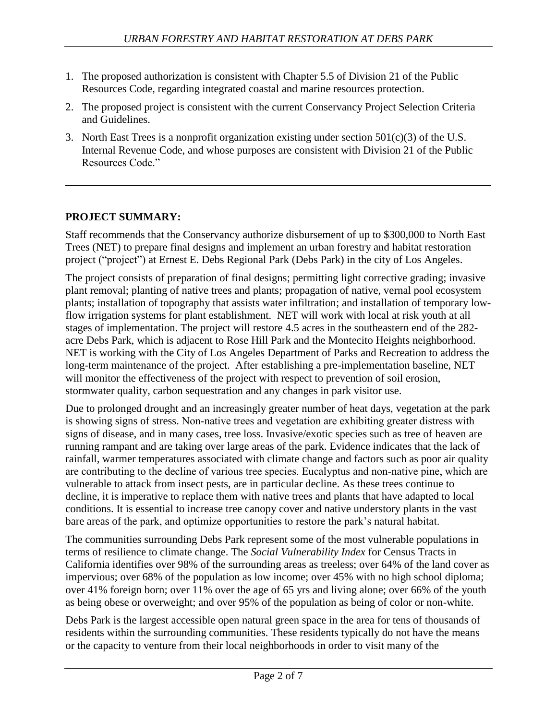- 1. The proposed authorization is consistent with Chapter 5.5 of Division 21 of the Public Resources Code, regarding integrated coastal and marine resources protection.
- 2. The proposed project is consistent with the current Conservancy Project Selection Criteria and Guidelines.
- 3. North East Trees is a nonprofit organization existing under section  $501(c)(3)$  of the U.S. Internal Revenue Code, and whose purposes are consistent with Division 21 of the Public Resources Code."

## **PROJECT SUMMARY:**

Staff recommends that the Conservancy authorize disbursement of up to \$300,000 to North East Trees (NET) to prepare final designs and implement an urban forestry and habitat restoration project ("project") at Ernest E. Debs Regional Park (Debs Park) in the city of Los Angeles.

The project consists of preparation of final designs; permitting light corrective grading; invasive plant removal; planting of native trees and plants; propagation of native, vernal pool ecosystem plants; installation of topography that assists water infiltration; and installation of temporary lowflow irrigation systems for plant establishment. NET will work with local at risk youth at all stages of implementation. The project will restore 4.5 acres in the southeastern end of the 282 acre Debs Park, which is adjacent to Rose Hill Park and the Montecito Heights neighborhood. NET is working with the City of Los Angeles Department of Parks and Recreation to address the long-term maintenance of the project. After establishing a pre-implementation baseline, NET will monitor the effectiveness of the project with respect to prevention of soil erosion, stormwater quality, carbon sequestration and any changes in park visitor use.

Due to prolonged drought and an increasingly greater number of heat days, vegetation at the park is showing signs of stress. Non-native trees and vegetation are exhibiting greater distress with signs of disease, and in many cases, tree loss. Invasive/exotic species such as tree of heaven are running rampant and are taking over large areas of the park. Evidence indicates that the lack of rainfall, warmer temperatures associated with climate change and factors such as poor air quality are contributing to the decline of various tree species. Eucalyptus and non‐native pine, which are vulnerable to attack from insect pests, are in particular decline. As these trees continue to decline, it is imperative to replace them with native trees and plants that have adapted to local conditions. It is essential to increase tree canopy cover and native understory plants in the vast bare areas of the park, and optimize opportunities to restore the park's natural habitat.

The communities surrounding Debs Park represent some of the most vulnerable populations in terms of resilience to climate change. The *Social Vulnerability Index* for Census Tracts in California identifies over 98% of the surrounding areas as treeless; over 64% of the land cover as impervious; over 68% of the population as low income; over 45% with no high school diploma; over 41% foreign born; over 11% over the age of 65 yrs and living alone; over 66% of the youth as being obese or overweight; and over 95% of the population as being of color or non-white.

Debs Park is the largest accessible open natural green space in the area for tens of thousands of residents within the surrounding communities. These residents typically do not have the means or the capacity to venture from their local neighborhoods in order to visit many of the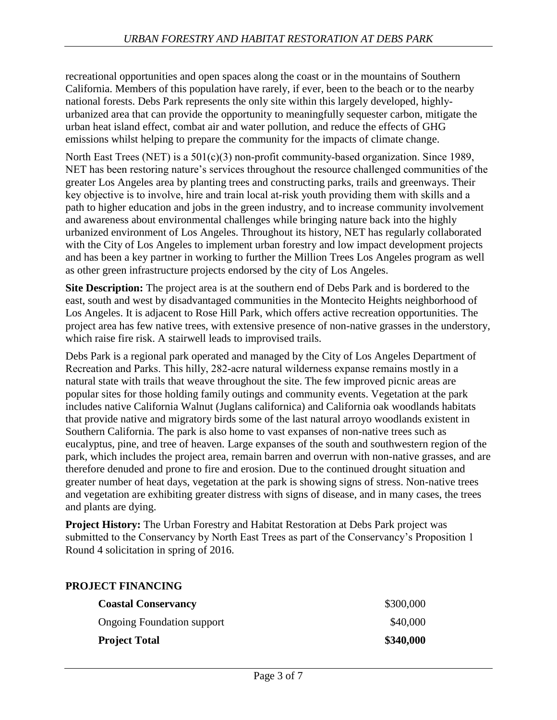recreational opportunities and open spaces along the coast or in the mountains of Southern California. Members of this population have rarely, if ever, been to the beach or to the nearby national forests. Debs Park represents the only site within this largely developed, highly‐ urbanized area that can provide the opportunity to meaningfully sequester carbon, mitigate the urban heat island effect, combat air and water pollution, and reduce the effects of GHG emissions whilst helping to prepare the community for the impacts of climate change.

North East Trees (NET) is a 501(c)(3) non-profit community-based organization. Since 1989, NET has been restoring nature's services throughout the resource challenged communities of the greater Los Angeles area by planting trees and constructing parks, trails and greenways. Their key objective is to involve, hire and train local at-risk youth providing them with skills and a path to higher education and jobs in the green industry, and to increase community involvement and awareness about environmental challenges while bringing nature back into the highly urbanized environment of Los Angeles. Throughout its history, NET has regularly collaborated with the City of Los Angeles to implement urban forestry and low impact development projects and has been a key partner in working to further the Million Trees Los Angeles program as well as other green infrastructure projects endorsed by the city of Los Angeles.

**Site Description:** The project area is at the southern end of Debs Park and is bordered to the east, south and west by disadvantaged communities in the Montecito Heights neighborhood of Los Angeles. It is adjacent to Rose Hill Park, which offers active recreation opportunities. The project area has few native trees, with extensive presence of non-native grasses in the understory, which raise fire risk. A stairwell leads to improvised trails.

Debs Park is a regional park operated and managed by the City of Los Angeles Department of Recreation and Parks. This hilly, 282‐acre natural wilderness expanse remains mostly in a natural state with trails that weave throughout the site. The few improved picnic areas are popular sites for those holding family outings and community events. Vegetation at the park includes native California Walnut (Juglans californica) and California oak woodlands habitats that provide native and migratory birds some of the last natural arroyo woodlands existent in Southern California. The park is also home to vast expanses of non-native trees such as eucalyptus, pine, and tree of heaven. Large expanses of the south and southwestern region of the park, which includes the project area, remain barren and overrun with non-native grasses, and are therefore denuded and prone to fire and erosion. Due to the continued drought situation and greater number of heat days, vegetation at the park is showing signs of stress. Non-native trees and vegetation are exhibiting greater distress with signs of disease, and in many cases, the trees and plants are dying.

**Project History:** The Urban Forestry and Habitat Restoration at Debs Park project was submitted to the Conservancy by North East Trees as part of the Conservancy's Proposition 1 Round 4 solicitation in spring of 2016.

| KUJEUT FINANUING                  |           |
|-----------------------------------|-----------|
| <b>Coastal Conservancy</b>        | \$300,000 |
| <b>Ongoing Foundation support</b> | \$40,000  |
| <b>Project Total</b>              | \$340,000 |

#### **PROJECT FINANCING**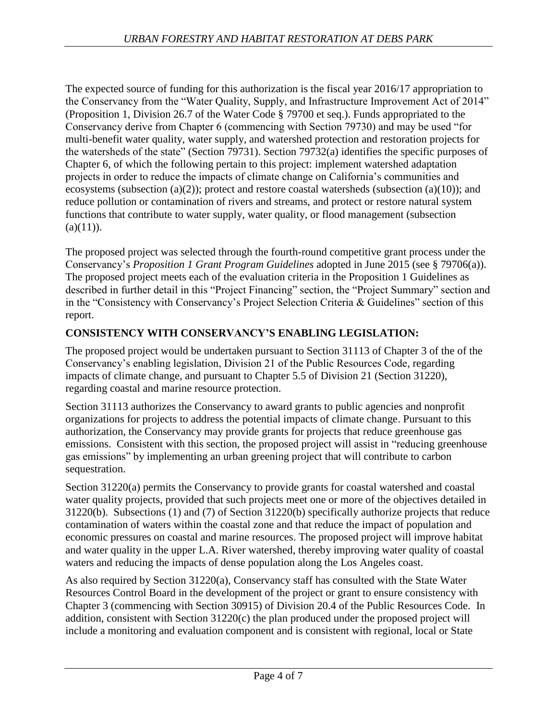The expected source of funding for this authorization is the fiscal year 2016/17 appropriation to the Conservancy from the "Water Quality, Supply, and Infrastructure Improvement Act of 2014" (Proposition 1, Division 26.7 of the Water Code § 79700 et seq.). Funds appropriated to the Conservancy derive from Chapter 6 (commencing with Section 79730) and may be used "for multi-benefit water quality, water supply, and watershed protection and restoration projects for the watersheds of the state" (Section 79731). Section 79732(a) identifies the specific purposes of Chapter 6, of which the following pertain to this project: implement watershed adaptation projects in order to reduce the impacts of climate change on California's communities and ecosystems (subsection (a)(2)); protect and restore coastal watersheds (subsection (a)(10)); and reduce pollution or contamination of rivers and streams, and protect or restore natural system functions that contribute to water supply, water quality, or flood management (subsection  $(a)(11)$ ).

The proposed project was selected through the fourth-round competitive grant process under the Conservancy's *Proposition 1 Grant Program Guidelines* adopted in June 2015 (see § 79706(a)). The proposed project meets each of the evaluation criteria in the Proposition 1 Guidelines as described in further detail in this "Project Financing" section, the "Project Summary" section and in the "Consistency with Conservancy's Project Selection Criteria & Guidelines" section of this report.

## **CONSISTENCY WITH CONSERVANCY'S ENABLING LEGISLATION:**

The proposed project would be undertaken pursuant to Section 31113 of Chapter 3 of the of the Conservancy's enabling legislation, Division 21 of the Public Resources Code, regarding impacts of climate change, and pursuant to Chapter 5.5 of Division 21 (Section 31220), regarding coastal and marine resource protection.

Section 31113 authorizes the Conservancy to award grants to public agencies and nonprofit organizations for projects to address the potential impacts of climate change. Pursuant to this authorization, the Conservancy may provide grants for projects that reduce greenhouse gas emissions. Consistent with this section, the proposed project will assist in "reducing greenhouse gas emissions" by implementing an urban greening project that will contribute to carbon sequestration.

Section 31220(a) permits the Conservancy to provide grants for coastal watershed and coastal water quality projects, provided that such projects meet one or more of the objectives detailed in 31220(b). Subsections (1) and (7) of Section 31220(b) specifically authorize projects that reduce contamination of waters within the coastal zone and that reduce the impact of population and economic pressures on coastal and marine resources. The proposed project will improve habitat and water quality in the upper L.A. River watershed, thereby improving water quality of coastal waters and reducing the impacts of dense population along the Los Angeles coast.

As also required by Section 31220(a), Conservancy staff has consulted with the State Water Resources Control Board in the development of the project or grant to ensure consistency with Chapter 3 (commencing with Section 30915) of Division 20.4 of the Public Resources Code. In addition, consistent with Section 31220(c) the plan produced under the proposed project will include a monitoring and evaluation component and is consistent with regional, local or State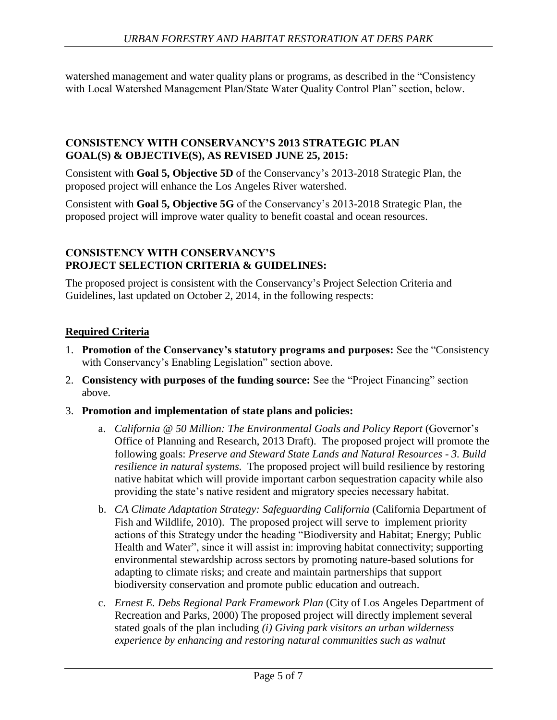watershed management and water quality plans or programs, as described in the "Consistency with Local Watershed Management Plan/State Water Quality Control Plan" section, below.

### **CONSISTENCY WITH CONSERVANCY'S 2013 STRATEGIC PLAN GOAL(S) & OBJECTIVE(S), AS REVISED JUNE 25, 2015:**

Consistent with **Goal 5, Objective 5D** of the Conservancy's 2013-2018 Strategic Plan, the proposed project will enhance the Los Angeles River watershed.

Consistent with **Goal 5, Objective 5G** of the Conservancy's 2013-2018 Strategic Plan, the proposed project will improve water quality to benefit coastal and ocean resources.

#### **CONSISTENCY WITH CONSERVANCY'S PROJECT SELECTION CRITERIA & GUIDELINES:**

The proposed project is consistent with the Conservancy's Project Selection Criteria and Guidelines, last updated on October 2, 2014, in the following respects:

## **Required Criteria**

- 1. **Promotion of the Conservancy's statutory programs and purposes:** See the "Consistency with Conservancy's Enabling Legislation" section above.
- 2. **Consistency with purposes of the funding source:** See the "Project Financing" section above.
- 3. **Promotion and implementation of state plans and policies:**
	- a. *California @ 50 Million: The Environmental Goals and Policy Report* (Governor's Office of Planning and Research, 2013 Draft). The proposed project will promote the following goals: *Preserve and Steward State Lands and Natural Resources - 3. Build resilience in natural systems.* The proposed project will build resilience by restoring native habitat which will provide important carbon sequestration capacity while also providing the state's native resident and migratory species necessary habitat.
	- b. *CA Climate Adaptation Strategy: Safeguarding California* (California Department of Fish and Wildlife, 2010). The proposed project will serve to implement priority actions of this Strategy under the heading "Biodiversity and Habitat; Energy; Public Health and Water", since it will assist in: improving habitat connectivity; supporting environmental stewardship across sectors by promoting nature-based solutions for adapting to climate risks; and create and maintain partnerships that support biodiversity conservation and promote public education and outreach.
	- c. *Ernest E. Debs Regional Park Framework Plan* (City of Los Angeles Department of Recreation and Parks, 2000) The proposed project will directly implement several stated goals of the plan including *(i) Giving park visitors an urban wilderness experience by enhancing and restoring natural communities such as walnut*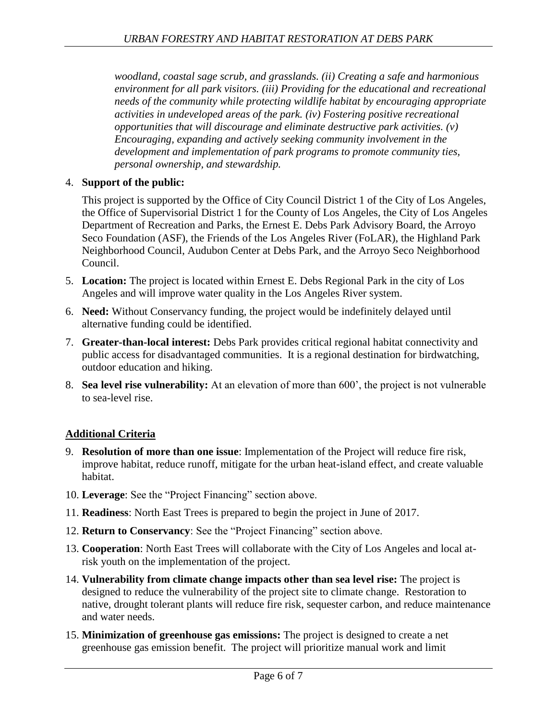*woodland, coastal sage scrub, and grasslands. (ii) Creating a safe and harmonious environment for all park visitors. (iii) Providing for the educational and recreational needs of the community while protecting wildlife habitat by encouraging appropriate activities in undeveloped areas of the park. (iv) Fostering positive recreational opportunities that will discourage and eliminate destructive park activities. (v) Encouraging, expanding and actively seeking community involvement in the development and implementation of park programs to promote community ties, personal ownership, and stewardship.*

## 4. **Support of the public:**

This project is supported by the Office of City Council District 1 of the City of Los Angeles, the Office of Supervisorial District 1 for the County of Los Angeles, the City of Los Angeles Department of Recreation and Parks, the Ernest E. Debs Park Advisory Board, the Arroyo Seco Foundation (ASF), the Friends of the Los Angeles River (FoLAR), the Highland Park Neighborhood Council, Audubon Center at Debs Park, and the Arroyo Seco Neighborhood Council.

- 5. **Location:** The project is located within Ernest E. Debs Regional Park in the city of Los Angeles and will improve water quality in the Los Angeles River system.
- 6. **Need:** Without Conservancy funding, the project would be indefinitely delayed until alternative funding could be identified.
- 7. **Greater-than-local interest:** Debs Park provides critical regional habitat connectivity and public access for disadvantaged communities. It is a regional destination for birdwatching, outdoor education and hiking.
- 8. **Sea level rise vulnerability:** At an elevation of more than 600', the project is not vulnerable to sea-level rise.

# **Additional Criteria**

- 9. **Resolution of more than one issue**: Implementation of the Project will reduce fire risk, improve habitat, reduce runoff, mitigate for the urban heat-island effect, and create valuable habitat.
- 10. **Leverage**: See the "Project Financing" section above.
- 11. **Readiness**: North East Trees is prepared to begin the project in June of 2017.
- 12. **Return to Conservancy**: See the "Project Financing" section above.
- 13. **Cooperation**: North East Trees will collaborate with the City of Los Angeles and local atrisk youth on the implementation of the project.
- 14. **Vulnerability from climate change impacts other than sea level rise:** The project is designed to reduce the vulnerability of the project site to climate change. Restoration to native, drought tolerant plants will reduce fire risk, sequester carbon, and reduce maintenance and water needs.
- 15. **Minimization of greenhouse gas emissions:** The project is designed to create a net greenhouse gas emission benefit. The project will prioritize manual work and limit